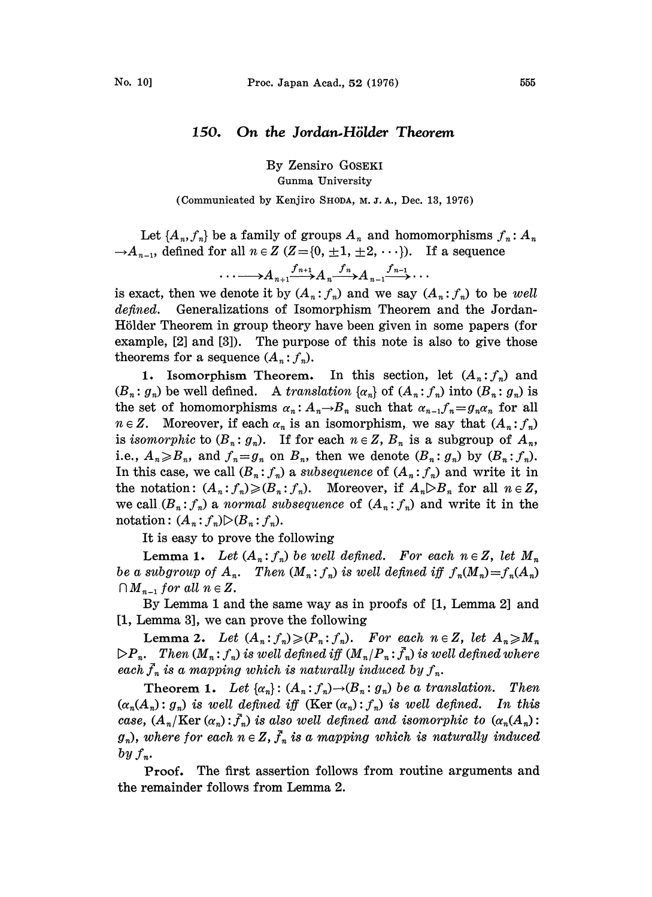## 150. On the Jordan-Hölder Theorem

By Zensiro GOSEKI Gunma University

(Communicated by Kenjiro SHODA, M. J. A., Dec. 13, 1976)

Let  $\{A_n, f_n\}$  be a family of groups  $A_n$  and homomorphisms  $f_n: A_n$  $\rightarrow A_{n-1}$ , defined for all  $n \in \mathbb{Z}$  (Z={0,  $\pm 1, \pm 2, \cdots$ }). If a sequence

$$
\cdots \longrightarrow A_{n+1} \xrightarrow{f_{n+1}} A_n \xrightarrow{f_n} A_{n-1} \xrightarrow{f_{n-1}} \cdots
$$

is exact, then we denote it by  $(A_n : f_n)$  and we say  $(A_n : f_n)$  to be well defined. Generalizations of Isomorphism Theorem and the Jordan-Hölder Theorem in group theory have been given in some papers (for example, [2] and [3]). The purpose of this note is also to give those theorems for a sequence  $(A_n : f_n)$ .

1. Isomorphism Theorem. In this section, let  $(A_n: f_n)$  and  $(B_n : g_n)$  be well defined. A translation  $\{\alpha_n\}$  of  $(A_n : f_n)$  into  $(B_n : g_n)$  is the set of homomorphisms  $\alpha_n: A_n \to B_n$  such that  $\alpha_{n-1} f_n = g_n \alpha_n$  for all  $n \in \mathbb{Z}$ . Moreover, if each  $\alpha_n$  is an isomorphism, we say that  $(A_n : f_n)$ is isomorphic to  $(B_n : g_n)$ . If for each  $n \in \mathbb{Z}$ ,  $B_n$  is a subgroup of  $A_n$ , i.e.,  $A_n \ge B_n$ , and  $f_n = g_n$  on  $B_n$ , then we denote  $(B_n : g_n)$  by  $(B_n : f_n)$ . In this case, we call  $(B_n : f_n)$  a subsequence of  $(A_n : f_n)$  and write it in the notation:  $(A_n : f_n) \geqslant (B_n : f_n)$ . Moreover, if  $A_n \triangleright B_n$  for all  $n \in \mathbb{Z}$ , we call  $(B_n : f_n)$  a normal subsequence of  $(A_n : f_n)$  and write it in the notation:  $(A_n:f_n) \triangleright (B_n:f_n)$ .

It is easy to prove the following

**Lemma 1.** Let  $(A_n:f_n)$  be well defined. For each  $n \in \mathbb{Z}$ , let  $M_n$ be a subgroup of  $A_n$ . Then  $(M_n : f_n)$  is well defined iff  $f_n(M_n)=f_n(A_n)$  $\bigcap_{n=1}$  for all  $n \in \mathbb{Z}$ .

By Lemma <sup>1</sup> and the same way as in proofs of [1, Lemma 2] and [1, Lemma 3], we can prove the following

Lemma 2. Let  $(A_n: f_n) \geqslant (P_n: f_n)$ . For each  $n \in \mathbb{Z}$ , let  $A_n \geqslant M_n$  $\triangleright P_n$ . Then  $(M_n : f_n)$  is well defined iff  $(M_n / P_n : \bar{f}_n)$  is well defined where each  $\bar{f}_n$  is a mapping which is naturally induced by  $f_n$ .

Theorem 1. Let  $\{\alpha_n\}$ :  $(A_n; f_n) \rightarrow (B_n; g_n)$  be a translation. Then  $(\alpha_n(A_n): g_n)$  is well defined iff  $(\text{Ker }(\alpha_n): f_n)$  is well defined. In this case,  $(A_n/{\rm Ker}(\alpha_n):\bar{f}_n)$  is also well defined and isomorphic to  $(\alpha_n(A_n))$ :  $g_n$ , where for each  $n \in \mathbb{Z}$ ,  $\bar{f}_n$  is a mapping which is naturally induced  $by f_n$ .

Proof. The first assertion follows from routine arguments and the remainder follows from Lemma 2.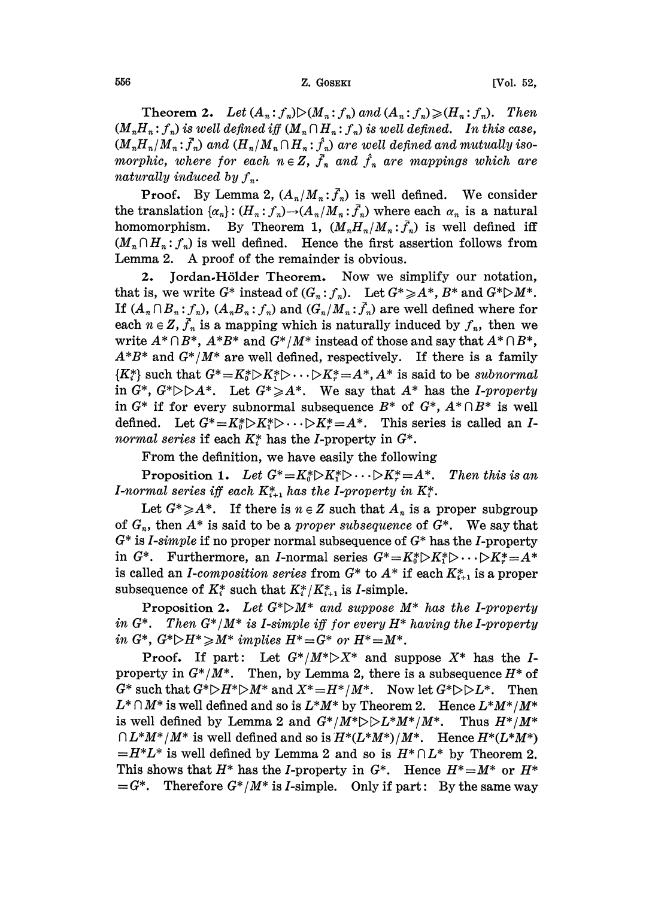## 556 **Z. GOSEKI** [Vol. 52,

**Theorem 2.** Let  $(A_n: f_n) \triangleright (M_n: f_n)$  and  $(A_n: f_n) \geq (H_n: f_n)$ . Then  $(M_n H_n: f_n)$  is well defined iff  $(M_n \cap H_n: f_n)$  is well defined. In this case,  $(M_nH_n/M_n: \bar{f}_n)$  and  $(H_n/M_n \cap H_n: \hat{f}_n)$  are well defined and mutually isomorphic, where for each  $n \in \mathbb{Z}$ ,  $\bar{f}_n$  and  $\hat{f}_n$  are mappings which are naturally induced by  $f_n$ .

**Proof.** By Lemma 2,  $(A_n/M_n: \bar{f}_n)$  is well defined. We consider the translation  $\{\alpha_n\} : (H_n : f_n) \to (A_n/M_n : \bar{f}_n)$  where each  $\alpha_n$  is a natural homomorphism. By Theorem 1,  $(M_nH_n/M_n:\bar{f}_n)$  is well defined iff  $(M_n \cap H_n: f_n)$  is well defined. Hence the first assertion follows from Lemma 2. A proof of the remainder is obvious.

2. Jordan-Hölder Theorem. Now we simplify our notation, that is, we write  $G^*$  instead of  $(G_n : f_n)$ . Let  $G^* \geq A^*$ ,  $B^*$  and  $G^* \supseteq M^*$ . If  $(A_n \cap B_n : f_n)$ ,  $(A_n B_n : f_n)$  and  $(G_n / M_n : f_n)$  are well defined where for each  $n \in \mathbb{Z}$ ,  $\overline{f}_n$  is a mapping which is naturally induced by  $f_n$ , then we write  $A^* \cap B^*$ ,  $A^*B^*$  and  $G^*/M^*$  instead of those and say that  $A^* \cap B^*$ ,  $A^*B^*$  and  $G^*/M^*$  are well defined, respectively. If there is a family  ${K^*_{i}}$  such that  $G^* = K^*_{i} \triangleright K^*_{i} \triangleright \cdots \triangleright K^*_{r} = A^*$ ,  $A^*$  is said to be subnormal in  $G^*$ ,  $G^* \triangleright \triangleright A^*$ . Let  $G^* \geq A^*$ . We say that  $A^*$  has the *I-property* in  $G^*$  if for every subnormal subsequence  $B^*$  of  $G^*$ ,  $A^* \cap B^*$  is well defined. Let  $G^* = K_0^* \triangleright K_1^* \triangleright \cdots \triangleright K_r^* = A^*$ . This series is called an Inormal series if each  $K^*$  has the *I*-property in  $G^*$ .

From the definition, we have easily the following

Proposition 1. Let  $G^* = K_0^* \triangleright K_1^* \triangleright \cdots \triangleright K_r^* = A^*$ . Then this is an I-normal series iff each  $K_{i+1}^*$  has the I-property in  $K_i^*$ .

Let  $G^* \geq A^*$ . If there is  $n \in \mathbb{Z}$  such that  $A_n$  is a proper subgroup of  $G_n$ , then  $A^*$  is said to be a *proper subsequence* of  $G^*$ . We say that  $G^*$  is *I-simple* if no proper normal subsequence of  $G^*$  has the *I*-property in  $G^*$ . Furthermore, an *I*-normal series  $G^* = K_0^* \triangleright K_1^* \triangleright \cdots \triangleright K_r^* = A^*$ is called an *I-composition series* from  $G^*$  to  $A^*$  if each  $K^*_{i+1}$  is a proper subsequence of  $K_i^*$  such that  $K_i^*/K_{i+1}^*$  is *I*-simple.

**Proposition 2.** Let  $G^* \triangleright M^*$  and suppose  $M^*$  has the I-property in  $G^*$ . Then  $G^*/M^*$  is I-simple iff for every  $H^*$  having the I-property in  $G^*, G^* \triangleright H^* \geq M^*$  implies  $H^* = G^*$  or  $H^* = M^*.$ 

Proof. If part: Let  $G^*/M^* \triangleright X^*$  and suppose  $X^*$  has the Iproperty in  $G^*/M^*$ . Then, by Lemma 2, there is a subsequence  $H^*$  of  $G^*$  such that  $G^* \triangleright H^* \triangleright M^*$  and  $X^* = H^* / M^*$ . Now let  $G^* \triangleright \triangleright L^*$ . Then  $L^* \cap M^*$  is well defined and so is  $L^*M^*$  by Theorem 2. Hence  $L^*M^*/M^*$ is well defined by Lemma 2 and  $G^*/M^* \triangleright \triangleright L^*M^*/M^*$ . Thus  $H^*/M^*$  $\bigcap L^*M^*/M^*$  is well defined and so is  $H^*(L^*M^*)/M^*$ . Hence  $H^*(L^*M^*)$  $=H^*L^*$  is well defined by Lemma 2 and so is  $H^*\cap L^*$  by Theorem 2. This shows that  $H^*$  has the *I*-property in  $G^*$ . Hence  $H^* = M^*$  or  $H^*$  $=G^*$ . Therefore  $G^*/M^*$  is *I*-simple. Only if part: By the same way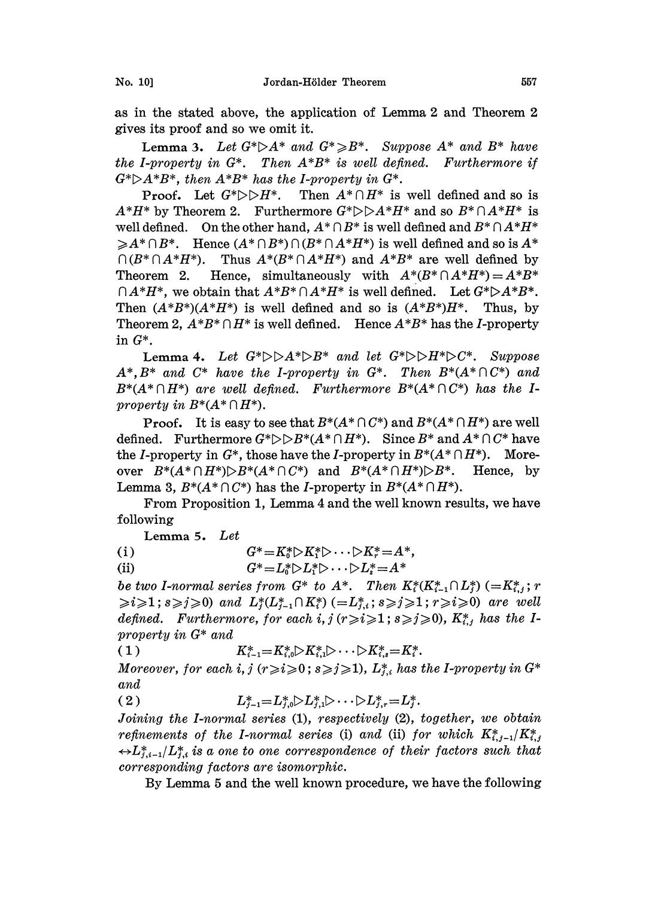as in the stated above, the application of Lemma 2 and Theorem 2 gives its proof and so we omit it.

**Lemma 3.** Let  $G^* \triangleright A^*$  and  $G^* \triangleright B^*$ . Suppose  $A^*$  and  $B^*$  have the I-property in  $G^*$ . Then  $A^*B^*$  is well defined. Furthermore if  $G^* \triangleright A^*B^*$ , then  $A^*B^*$  has the *I*-property in  $G^*$ .

**Proof.** Let  $G^* \triangleright \triangleright H^*$ . Then  $A^* \cap H^*$  is well defined and so is  $A^*H^*$  by Theorem 2. Furthermore  $G^*\triangleright\triangleright A^*H^*$  and so  $B^*\cap A^*H^*$  is well defined. On the other hand,  $A^* \cap B^*$  is well defined and  $B^* \cap A^*H^*$  $\geq A^*\cap B^*$ . Hence  $(A^*\cap B^*)\cap (B^*\cap A^*H^*)$  is well defined and so is  $A^*$  $\bigcap (B^* \bigcap A^*H^*)$ . Thus  $A^*(B^* \bigcap A^*H^*)$  and  $A^*B^*$  are well defined by Theorem 2. Hence, simultaneously with  $A^*(B^* \cap A^*H^*) = A^*B^*$  $\bigcap A^*H^*$ , we obtain that  $A^*B^*\bigcap A^*H^*$  is well defined. Let  $G^*\triangleright A^*B^*$ . Then  $(A*B^*)(A*H^*)$  is well defined and so is  $(A*B^*)H^*$ . Thus, by Theorem 2,  $A*B^* \cap H^*$  is well defined. Hence  $A*B^*$  has the *I*-property in G\*.

Lemma 4. Let  $G^* \triangleright \triangleright A^* \triangleright B^*$  and let  $G^* \triangleright \triangleright H^* \triangleright C^*$ . Suppose  $A^*, B^*$  and  $C^*$  have the I-property in  $G^*$ . Then  $B^*(A^* \cap C^*)$  and  $B^*(A^*\cap H^*)$  are well defined. Furthermore  $B^*(A^*\cap C^*)$  has the Iproperty in  $B^*(A^*\cap H^*)$ .

**Proof.** It is easy to see that  $B^*(A^* \cap C^*)$  and  $B^*(A^* \cap H^*)$  are well defined. Furthermore  $G^* \triangleright B^* (A^* \cap H^*)$ . Since  $B^*$  and  $A^* \cap C^*$  have the *I*-property in  $G^*$ , those have the *I*-property in  $B^*(A^* \cap H^*)$ . Moreover  $B^*(A^*\cap H^*)\triangleright B^*(A^*\cap C^*)$  and  $B^*(A^*\cap H^*)\triangleright B^*$ . Hence, by Lemma 3,  $B^*(A^* \cap C^*)$  has the *I*-property in  $B^*(A^* \cap H^*)$ .

From Proposition 1, Lemma 4 and the well known results, we have following

Lemma 5. Let

(i)  $G^* = K_0^* \triangleright K_1^* \triangleright \cdots \triangleright K_r^* = A^*,$ 

(ii)  $G^* = L_0^* \triangleright L_1^* \triangleright \cdots \triangleright L_s^* = A^*$ 

be two I-normal series from  $G^*$  to  $A^*$ . Then  $K^*_i(K^*_{i-1} \cap L^*_i)$  (= $K^*_{i,j}$ ; r  $\ge i \ge 1$ ;  $s \ge j \ge 0$ ) and  $L^*_i(L^*_{i-1} \cap K^*_i) (= L^*_{i,i}; s \ge j \ge 1; r \ge i \ge 0)$  are well defined. Furthermore, for each i,  $j (r \geq i \geq 1; s \geq j \geq 0)$ ,  $K_{i,j}^*$  has the Iproperty in G\* and

( 1 )  $K_{i-1}^* = K_{i,0}^* \triangleright K_{i,1}^* \triangleright \cdots \triangleright K_{i,s}^* = K_i^*.$ 

Moreover, for each i,  $j$  ( $r \ge i \ge 0$ ;  $s \ge j \ge 1$ ),  $L_{j,i}^*$  has the I-property in  $G^*$ and

(2)  $L_{i-1}^* = L_{i,0}^* \triangleright L_{i,1}^* \triangleright \cdots \triangleright L_{i,r}^* = L_i^*.$ 

Joining the I-normal series (1), respectively (2), together, we obtain refinements of the I-normal series (i) and (ii) for which  $K_{i,j-1}^*/K_{i,j}^*$  $\leftrightarrow L_{i,i-1}^* / L_{i,i}^*$  is a one to one correspondence of their factors such that corresponding factors are isomorphic.

By Lemma <sup>5</sup> and the well known procedure, we have the following